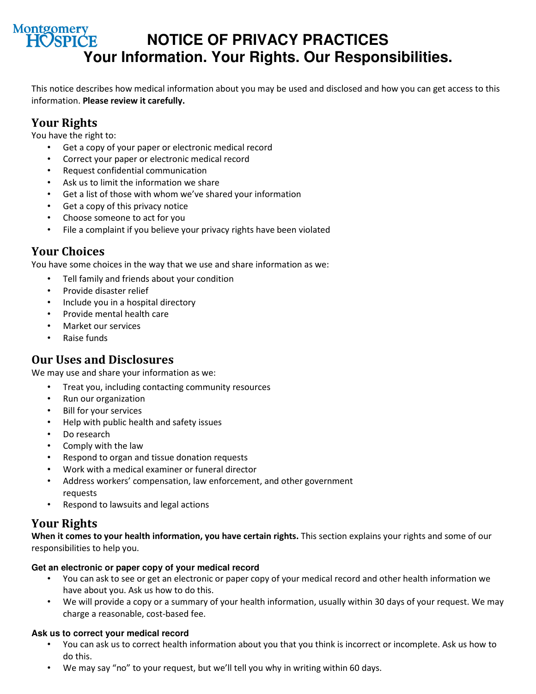## Montgomery<br>HOSPICE **NOTICE OF PRIVACY PRACTICES Your Information. Your Rights. Our Responsibilities.**

This notice describes how medical information about you may be used and disclosed and how you can get access to this information. Please review it carefully.

# Your Rights

You have the right to:

- Get a copy of your paper or electronic medical record
- Correct your paper or electronic medical record
- Request confidential communication
- Ask us to limit the information we share
- Get a list of those with whom we've shared your information
- Get a copy of this privacy notice
- Choose someone to act for you
- File a complaint if you believe your privacy rights have been violated

## Your Choices

You have some choices in the way that we use and share information as we:

- Tell family and friends about your condition
- Provide disaster relief
- Include you in a hospital directory
- Provide mental health care
- Market our services
- Raise funds

## Our Uses and Disclosures

We may use and share your information as we:

- Treat you, including contacting community resources
- Run our organization
- Bill for your services
- Help with public health and safety issues
- Do research
- Comply with the law
- Respond to organ and tissue donation requests
- Work with a medical examiner or funeral director
- Address workers' compensation, law enforcement, and other government requests
- Respond to lawsuits and legal actions

## Your Rights

When it comes to your health information, you have certain rights. This section explains your rights and some of our responsibilities to help you.

### **Get an electronic or paper copy of your medical record**

- You can ask to see or get an electronic or paper copy of your medical record and other health information we have about you. Ask us how to do this.
- We will provide a copy or a summary of your health information, usually within 30 days of your request. We may charge a reasonable, cost-based fee.

### **Ask us to correct your medical record**

- You can ask us to correct health information about you that you think is incorrect or incomplete. Ask us how to do this.
- We may say "no" to your request, but we'll tell you why in writing within 60 days.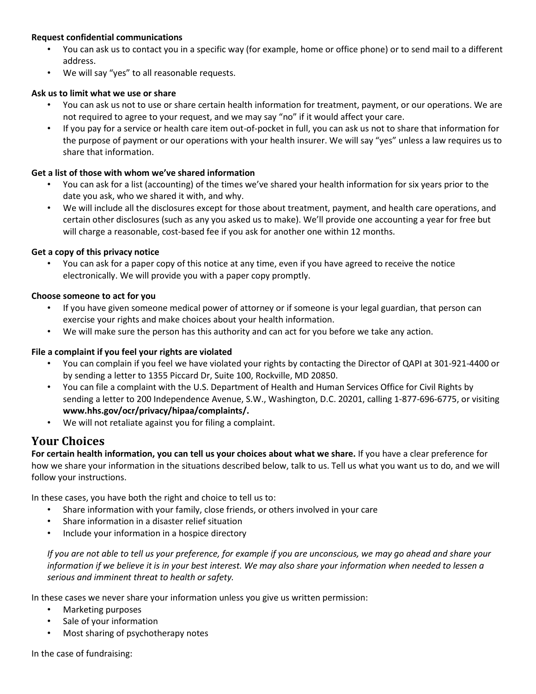### Request confidential communications

- You can ask us to contact you in a specific way (for example, home or office phone) or to send mail to a different address.
- We will say "yes" to all reasonable requests.

### Ask us to limit what we use or share

- You can ask us not to use or share certain health information for treatment, payment, or our operations. We are not required to agree to your request, and we may say "no" if it would affect your care.
- If you pay for a service or health care item out-of-pocket in full, you can ask us not to share that information for the purpose of payment or our operations with your health insurer. We will say "yes" unless a law requires us to share that information.

### Get a list of those with whom we've shared information

- You can ask for a list (accounting) of the times we've shared your health information for six years prior to the date you ask, who we shared it with, and why.
- We will include all the disclosures except for those about treatment, payment, and health care operations, and certain other disclosures (such as any you asked us to make). We'll provide one accounting a year for free but will charge a reasonable, cost-based fee if you ask for another one within 12 months.

### Get a copy of this privacy notice

• You can ask for a paper copy of this notice at any time, even if you have agreed to receive the notice electronically. We will provide you with a paper copy promptly.

### Choose someone to act for you

- If you have given someone medical power of attorney or if someone is your legal guardian, that person can exercise your rights and make choices about your health information.
- We will make sure the person has this authority and can act for you before we take any action.

### File a complaint if you feel your rights are violated

- You can complain if you feel we have violated your rights by contacting the Director of QAPI at 301-921-4400 or by sending a letter to 1355 Piccard Dr, Suite 100, Rockville, MD 20850.
- You can file a complaint with the U.S. Department of Health and Human Services Office for Civil Rights by sending a letter to 200 Independence Avenue, S.W., Washington, D.C. 20201, calling 1-877-696-6775, or visiting www.hhs.gov/ocr/privacy/hipaa/complaints/.
- We will not retaliate against you for filing a complaint.

## Your Choices

For certain health information, you can tell us your choices about what we share. If you have a clear preference for how we share your information in the situations described below, talk to us. Tell us what you want us to do, and we will follow your instructions.

In these cases, you have both the right and choice to tell us to:

- Share information with your family, close friends, or others involved in your care
- Share information in a disaster relief situation
- Include your information in a hospice directory

If you are not able to tell us your preference, for example if you are unconscious, we may go ahead and share your information if we believe it is in your best interest. We may also share your information when needed to lessen a serious and imminent threat to health or safety.

In these cases we never share your information unless you give us written permission:

- Marketing purposes
- Sale of your information
- Most sharing of psychotherapy notes

In the case of fundraising: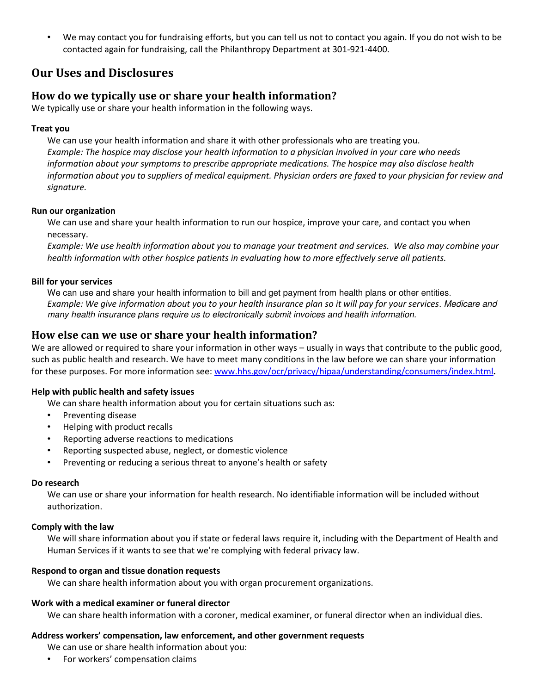• We may contact you for fundraising efforts, but you can tell us not to contact you again. If you do not wish to be contacted again for fundraising, call the Philanthropy Department at 301-921-4400.

## Our Uses and Disclosures

### How do we typically use or share your health information?

We typically use or share your health information in the following ways.

### Treat you

We can use your health information and share it with other professionals who are treating you. Example: The hospice may disclose your health information to a physician involved in your care who needs information about your symptoms to prescribe appropriate medications. The hospice may also disclose health information about you to suppliers of medical equipment. Physician orders are faxed to your physician for review and signature.

### Run our organization

We can use and share your health information to run our hospice, improve your care, and contact you when necessary.

Example: We use health information about you to manage your treatment and services. We also may combine your health information with other hospice patients in evaluating how to more effectively serve all patients.

### Bill for your services

We can use and share your health information to bill and get payment from health plans or other entities. Example: We give information about you to your health insurance plan so it will pay for your services. Medicare and many health insurance plans require us to electronically submit invoices and health information.

### How else can we use or share your health information?

We are allowed or required to share your information in other ways – usually in ways that contribute to the public good, such as public health and research. We have to meet many conditions in the law before we can share your information for these purposes. For more information see: www.hhs.gov/ocr/privacy/hipaa/understanding/consumers/index.html.

### Help with public health and safety issues

We can share health information about you for certain situations such as:

- Preventing disease
- Helping with product recalls
- Reporting adverse reactions to medications
- Reporting suspected abuse, neglect, or domestic violence
- Preventing or reducing a serious threat to anyone's health or safety

#### Do research

We can use or share your information for health research. No identifiable information will be included without authorization.

### Comply with the law

We will share information about you if state or federal laws require it, including with the Department of Health and Human Services if it wants to see that we're complying with federal privacy law.

### Respond to organ and tissue donation requests

We can share health information about you with organ procurement organizations.

#### Work with a medical examiner or funeral director

We can share health information with a coroner, medical examiner, or funeral director when an individual dies.

### Address workers' compensation, law enforcement, and other government requests

- We can use or share health information about you:
- For workers' compensation claims